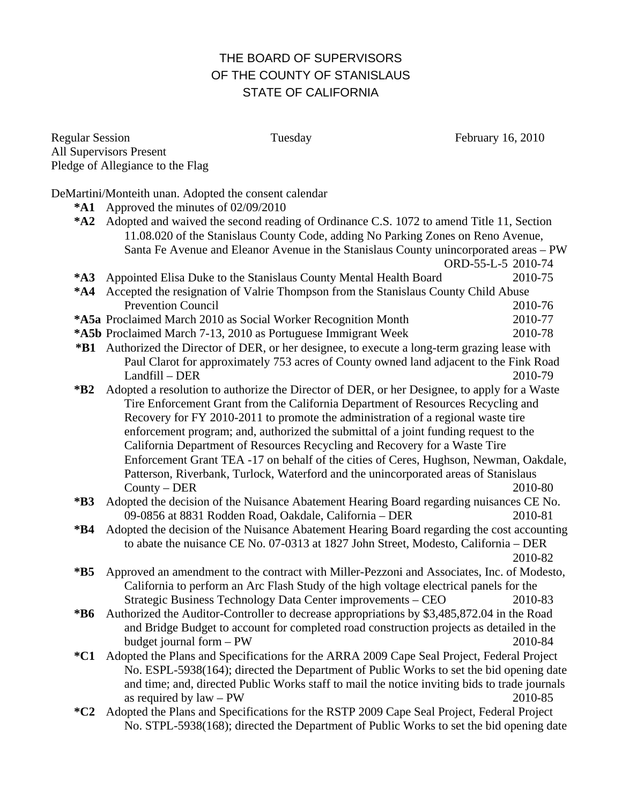## THE BOARD OF SUPERVISORS OF THE COUNTY OF STANISLAUS STATE OF CALIFORNIA

Regular Session Tuesday Tuesday February 16, 2010 All Supervisors Present Pledge of Allegiance to the Flag

DeMartini/Monteith unan. Adopted the consent calendar

- **\*A1** Approved the minutes of 02/09/2010
- **\*A2** Adopted and waived the second reading of Ordinance C.S. 1072 to amend Title 11, Section 11.08.020 of the Stanislaus County Code, adding No Parking Zones on Reno Avenue, Santa Fe Avenue and Eleanor Avenue in the Stanislaus County unincorporated areas – PW

ORD-55-L-5 2010-74

- **\*A3** Appointed Elisa Duke to the Stanislaus County Mental Health Board 2010-75 **\*A4** Accepted the resignation of Valrie Thompson from the Stanislaus County Child Abuse Prevention Council 2010-76
- **\*A5a** Proclaimed March 2010 as Social Worker Recognition Month 2010-77
- **\*A5b** Proclaimed March 7-13, 2010 as Portuguese Immigrant Week 2010-78
- **\*B1** Authorized the Director of DER, or her designee, to execute a long-term grazing lease with Paul Clarot for approximately 753 acres of County owned land adjacent to the Fink Road Landfill – DER 2010-79
- **\*B2** Adopted a resolution to authorize the Director of DER, or her Designee, to apply for a Waste Tire Enforcement Grant from the California Department of Resources Recycling and Recovery for FY 2010-2011 to promote the administration of a regional waste tire enforcement program; and, authorized the submittal of a joint funding request to the California Department of Resources Recycling and Recovery for a Waste Tire Enforcement Grant TEA -17 on behalf of the cities of Ceres, Hughson, Newman, Oakdale, Patterson, Riverbank, Turlock, Waterford and the unincorporated areas of Stanislaus County – DER 2010-80
- **\*B3** Adopted the decision of the Nuisance Abatement Hearing Board regarding nuisances CE No. 09-0856 at 8831 Rodden Road, Oakdale, California – DER 2010-81
- **\*B4** Adopted the decision of the Nuisance Abatement Hearing Board regarding the cost accounting to abate the nuisance CE No. 07-0313 at 1827 John Street, Modesto, California – DER 2010-82
- **\*B5** Approved an amendment to the contract with Miller-Pezzoni and Associates, Inc. of Modesto, California to perform an Arc Flash Study of the high voltage electrical panels for the Strategic Business Technology Data Center improvements – CEO 2010-83
- **\*B6** Authorized the Auditor-Controller to decrease appropriations by \$3,485,872.04 in the Road and Bridge Budget to account for completed road construction projects as detailed in the budget journal form – PW 2010-84
- **\*C1** Adopted the Plans and Specifications for the ARRA 2009 Cape Seal Project, Federal Project No. ESPL-5938(164); directed the Department of Public Works to set the bid opening date and time; and, directed Public Works staff to mail the notice inviting bids to trade journals as required by law – PW 2010-85
- **\*C2** Adopted the Plans and Specifications for the RSTP 2009 Cape Seal Project, Federal Project No. STPL-5938(168); directed the Department of Public Works to set the bid opening date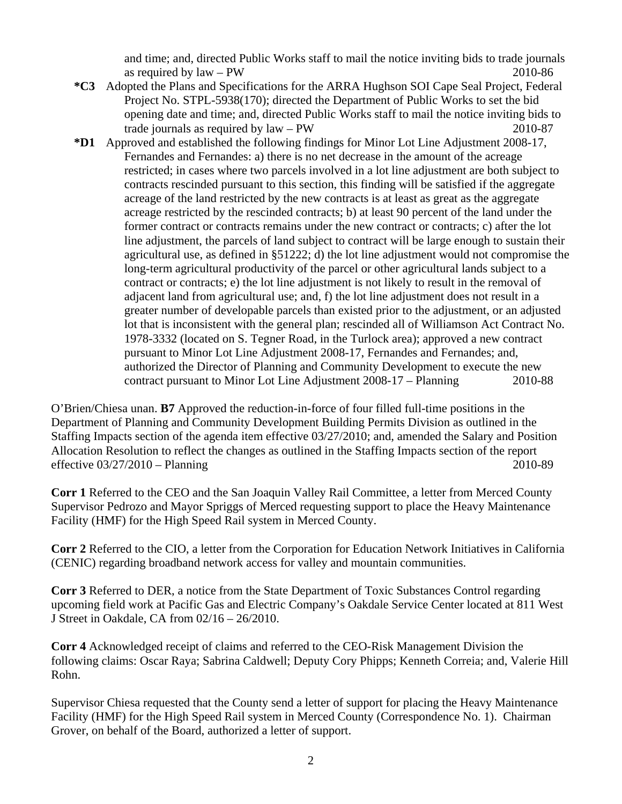and time; and, directed Public Works staff to mail the notice inviting bids to trade journals as required by  $law - PW$  2010-86

- **\*C3** Adopted the Plans and Specifications for the ARRA Hughson SOI Cape Seal Project, Federal Project No. STPL-5938(170); directed the Department of Public Works to set the bid opening date and time; and, directed Public Works staff to mail the notice inviting bids to trade journals as required by law – PW 2010-87
- **\*D1** Approved and established the following findings for Minor Lot Line Adjustment 2008-17, Fernandes and Fernandes: a) there is no net decrease in the amount of the acreage restricted; in cases where two parcels involved in a lot line adjustment are both subject to contracts rescinded pursuant to this section, this finding will be satisfied if the aggregate acreage of the land restricted by the new contracts is at least as great as the aggregate acreage restricted by the rescinded contracts; b) at least 90 percent of the land under the former contract or contracts remains under the new contract or contracts; c) after the lot line adjustment, the parcels of land subject to contract will be large enough to sustain their agricultural use, as defined in §51222; d) the lot line adjustment would not compromise the long-term agricultural productivity of the parcel or other agricultural lands subject to a contract or contracts; e) the lot line adjustment is not likely to result in the removal of adjacent land from agricultural use; and, f) the lot line adjustment does not result in a greater number of developable parcels than existed prior to the adjustment, or an adjusted lot that is inconsistent with the general plan; rescinded all of Williamson Act Contract No. 1978-3332 (located on S. Tegner Road, in the Turlock area); approved a new contract pursuant to Minor Lot Line Adjustment 2008-17, Fernandes and Fernandes; and, authorized the Director of Planning and Community Development to execute the new contract pursuant to Minor Lot Line Adjustment 2008-17 – Planning 2010-88

O'Brien/Chiesa unan. **B7** Approved the reduction-in-force of four filled full-time positions in the Department of Planning and Community Development Building Permits Division as outlined in the Staffing Impacts section of the agenda item effective 03/27/2010; and, amended the Salary and Position Allocation Resolution to reflect the changes as outlined in the Staffing Impacts section of the report effective 03/27/2010 – Planning 2010-89

**Corr 1** Referred to the CEO and the San Joaquin Valley Rail Committee, a letter from Merced County Supervisor Pedrozo and Mayor Spriggs of Merced requesting support to place the Heavy Maintenance Facility (HMF) for the High Speed Rail system in Merced County.

**Corr 2** Referred to the CIO, a letter from the Corporation for Education Network Initiatives in California (CENIC) regarding broadband network access for valley and mountain communities.

**Corr 3** Referred to DER, a notice from the State Department of Toxic Substances Control regarding upcoming field work at Pacific Gas and Electric Company's Oakdale Service Center located at 811 West J Street in Oakdale, CA from 02/16 – 26/2010.

**Corr 4** Acknowledged receipt of claims and referred to the CEO-Risk Management Division the following claims: Oscar Raya; Sabrina Caldwell; Deputy Cory Phipps; Kenneth Correia; and, Valerie Hill Rohn.

Supervisor Chiesa requested that the County send a letter of support for placing the Heavy Maintenance Facility (HMF) for the High Speed Rail system in Merced County (Correspondence No. 1). Chairman Grover, on behalf of the Board, authorized a letter of support.